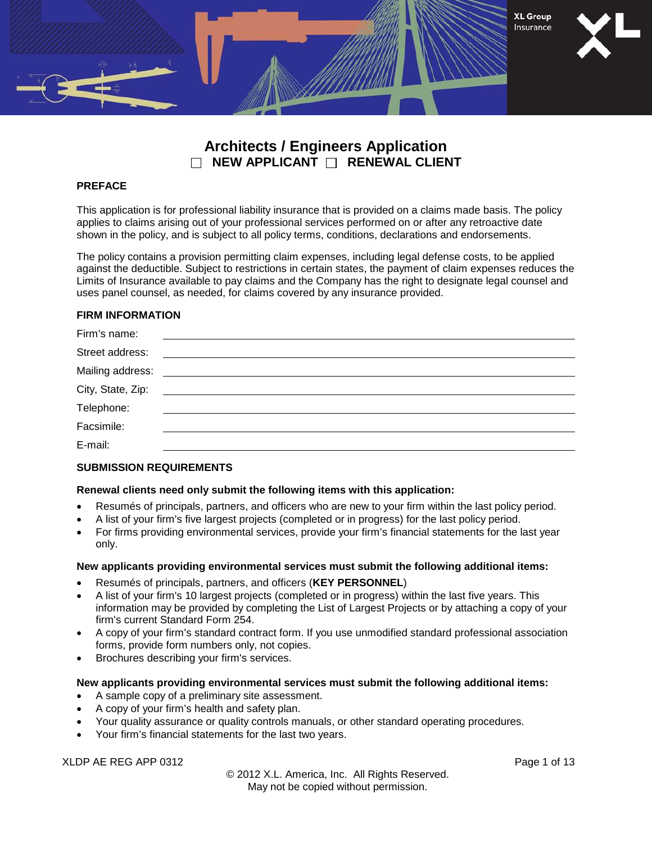

# **Architects / Engineers Application NEW APPLICANT RENEWAL CLIENT**

#### **PREFACE**

This application is for professional liability insurance that is provided on a claims made basis. The policy applies to claims arising out of your professional services performed on or after any retroactive date shown in the policy, and is subject to all policy terms, conditions, declarations and endorsements.

The policy contains a provision permitting claim expenses, including legal defense costs, to be applied against the deductible. Subject to restrictions in certain states, the payment of claim expenses reduces the Limits of Insurance available to pay claims and the Company has the right to designate legal counsel and uses panel counsel, as needed, for claims covered by any insurance provided.

### **FIRM INFORMATION**

#### **SUBMISSION REQUIREMENTS**

#### **Renewal clients need only submit the following items with this application:**

- Resumés of principals, partners, and officers who are new to your firm within the last policy period.
- A list of your firm's five largest projects (completed or in progress) for the last policy period.
- For firms providing environmental services, provide your firm's financial statements for the last year only.

#### **New applicants providing environmental services must submit the following additional items:**

- Resumés of principals, partners, and officers (**KEY PERSONNEL**)
- A list of your firm's 10 largest projects (completed or in progress) within the last five years. This information may be provided by completing the List of Largest Projects or by attaching a copy of your firm's current Standard Form 254.
- A copy of your firm's standard contract form. If you use unmodified standard professional association forms, provide form numbers only, not copies.
- Brochures describing your firm's services.

#### **New applicants providing environmental services must submit the following additional items:**

- A sample copy of a preliminary site assessment.
- A copy of your firm's health and safety plan.
- Your quality assurance or quality controls manuals, or other standard operating procedures.
- Your firm's financial statements for the last two years.

XLDP AE REG APP 0312 Page 1 of 13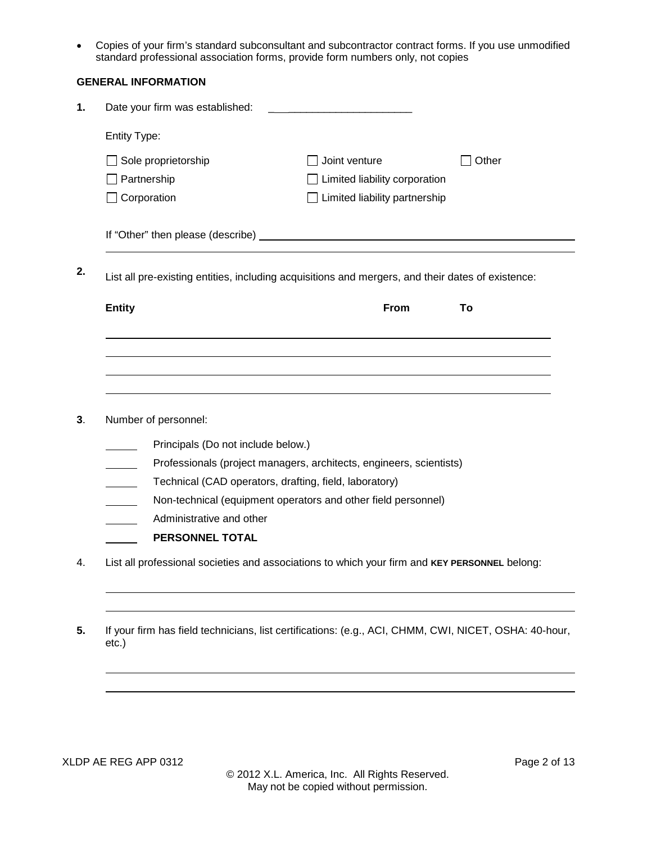• Copies of your firm's standard subconsultant and subcontractor contract forms. If you use unmodified standard professional association forms, provide form numbers only, not copies

|    | <b>GENERAL INFORMATION</b>                                                                                     |                                                                     |       |
|----|----------------------------------------------------------------------------------------------------------------|---------------------------------------------------------------------|-------|
| 1. | Date your firm was established:                                                                                | <u> 1989 - John Stone, amerikansk politiker (</u>                   |       |
|    | Entity Type:                                                                                                   |                                                                     |       |
|    | Sole proprietorship                                                                                            | Joint venture                                                       | Other |
|    | Partnership                                                                                                    | Limited liability corporation                                       |       |
|    | Corporation                                                                                                    | Limited liability partnership                                       |       |
|    |                                                                                                                |                                                                     |       |
| 2. | List all pre-existing entities, including acquisitions and mergers, and their dates of existence:              |                                                                     |       |
|    | <b>Entity</b>                                                                                                  | From                                                                | To    |
|    |                                                                                                                |                                                                     |       |
|    |                                                                                                                |                                                                     |       |
|    |                                                                                                                |                                                                     |       |
| 3. | Number of personnel:                                                                                           |                                                                     |       |
|    | Principals (Do not include below.)                                                                             |                                                                     |       |
|    |                                                                                                                | Professionals (project managers, architects, engineers, scientists) |       |
|    | Technical (CAD operators, drafting, field, laboratory)                                                         |                                                                     |       |
|    | Non-technical (equipment operators and other field personnel)                                                  |                                                                     |       |
|    | Administrative and other                                                                                       |                                                                     |       |
|    | PERSONNEL TOTAL                                                                                                |                                                                     |       |
| 4. | List all professional societies and associations to which your firm and KEY PERSONNEL belong:                  |                                                                     |       |
|    |                                                                                                                |                                                                     |       |
|    |                                                                                                                |                                                                     |       |
| 5. | If your firm has field technicians, list certifications: (e.g., ACI, CHMM, CWI, NICET, OSHA: 40-hour,<br>etc.) |                                                                     |       |
|    |                                                                                                                |                                                                     |       |
|    |                                                                                                                |                                                                     |       |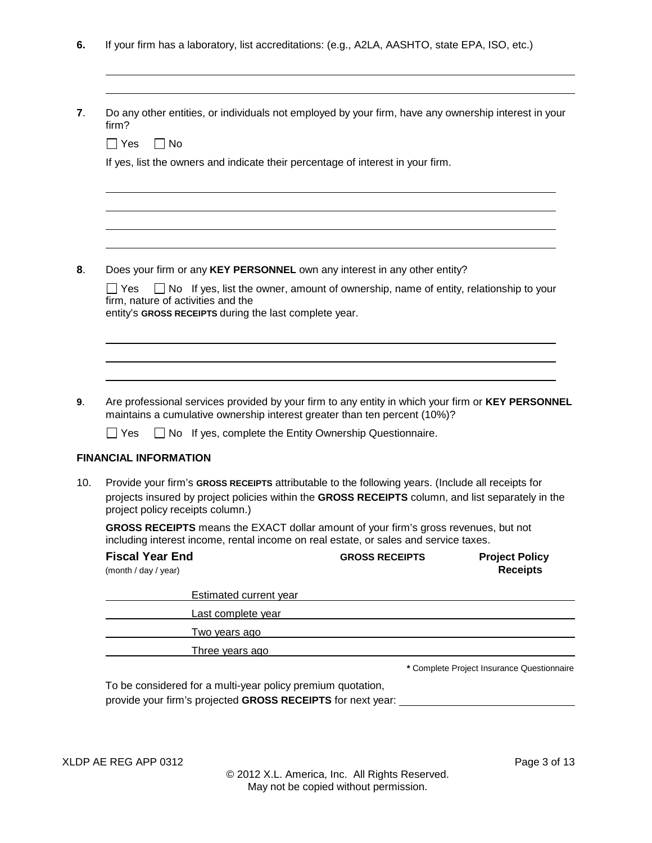**6.** If your firm has a laboratory, list accreditations: (e.g., A2LA, AASHTO, state EPA, ISO, etc.)

| firm?                                          |           |                                    |                                                        |                                                                                                                                             | Do any other entities, or individuals not employed by your firm, have any ownership interest in your |
|------------------------------------------------|-----------|------------------------------------|--------------------------------------------------------|---------------------------------------------------------------------------------------------------------------------------------------------|------------------------------------------------------------------------------------------------------|
| $\Box$ Yes                                     | $\Box$ No |                                    |                                                        |                                                                                                                                             |                                                                                                      |
|                                                |           |                                    |                                                        | If yes, list the owners and indicate their percentage of interest in your firm.                                                             |                                                                                                      |
|                                                |           |                                    |                                                        |                                                                                                                                             |                                                                                                      |
|                                                |           |                                    |                                                        | Does your firm or any KEY PERSONNEL own any interest in any other entity?                                                                   |                                                                                                      |
| $\Box$ Yes                                     |           | firm, nature of activities and the |                                                        |                                                                                                                                             | $\Box$ No If yes, list the owner, amount of ownership, name of entity, relationship to your          |
|                                                |           |                                    | entity's GROSS RECEIPTS during the last complete year. |                                                                                                                                             |                                                                                                      |
|                                                |           |                                    |                                                        |                                                                                                                                             | Are professional services provided by your firm to any entity in which your firm or KEY PERSONNEL    |
|                                                |           |                                    |                                                        | maintains a cumulative ownership interest greater than ten percent (10%)?<br>$\Box$ No If yes, complete the Entity Ownership Questionnaire. |                                                                                                      |
|                                                |           |                                    |                                                        |                                                                                                                                             |                                                                                                      |
| $\sqcap$ Yes                                   |           |                                    |                                                        |                                                                                                                                             |                                                                                                      |
| <b>FINANCIAL INFORMATION</b>                   |           | project policy receipts column.)   |                                                        |                                                                                                                                             | Provide your firm's GROSS RECEIPTS attributable to the following years. (Include all receipts for    |
|                                                |           |                                    |                                                        | including interest income, rental income on real estate, or sales and service taxes.                                                        | GROSS RECEIPTS means the EXACT dollar amount of your firm's gross revenues, but not                  |
| <b>Fiscal Year End</b><br>(month / day / year) |           |                                    |                                                        | <b>GROSS RECEIPTS</b>                                                                                                                       | <b>Project Policy</b><br><b>Receipts</b>                                                             |
|                                                |           |                                    | Estimated current year                                 |                                                                                                                                             |                                                                                                      |
|                                                |           | Last complete year                 |                                                        |                                                                                                                                             | projects insured by project policies within the GROSS RECEIPTS column, and list separately in the    |
|                                                |           | Two years ago                      |                                                        | <u> 1989 - Johann Stein, marking and de families and de families and descriptions of the state of the state of th</u>                       |                                                                                                      |

To be considered for a multi-year policy premium quotation, provide your firm's projected **GROSS RECEIPTS** for next year:

 $\overline{a}$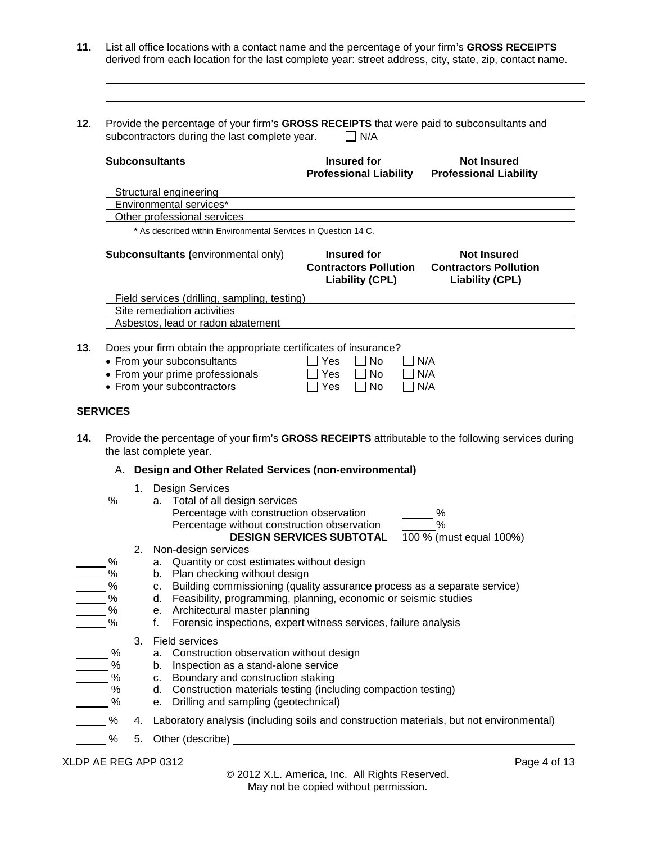- **11.** List all office locations with a contact name and the percentage of your firm's **GROSS RECEIPTS** derived from each location for the last complete year: street address, city, state, zip, contact name.
- **12**. Provide the percentage of your firm's **GROSS RECEIPTS** that were paid to subconsultants and subcontractors during the last complete year.  $\Box$  N/A

 $\overline{\phantom{a}}$  $\overline{a}$ 

|     |                 | <b>Subconsultants</b>                                                                                                                                           | Insured for<br><b>Professional Liability</b>                                                                                                                                                                                         | <b>Not Insured</b><br><b>Professional Liability</b>                                                                      |
|-----|-----------------|-----------------------------------------------------------------------------------------------------------------------------------------------------------------|--------------------------------------------------------------------------------------------------------------------------------------------------------------------------------------------------------------------------------------|--------------------------------------------------------------------------------------------------------------------------|
|     |                 | <b>Structural engineering</b>                                                                                                                                   |                                                                                                                                                                                                                                      |                                                                                                                          |
|     |                 | Environmental services*                                                                                                                                         | <u> 1980 - Johann Stoff, deutscher Stoffen und der Stoffen und der Stoffen und der Stoffen und der Stoffen und der</u>                                                                                                               |                                                                                                                          |
|     |                 | Other professional services                                                                                                                                     |                                                                                                                                                                                                                                      |                                                                                                                          |
|     |                 | * As described within Environmental Services in Question 14 C.                                                                                                  |                                                                                                                                                                                                                                      |                                                                                                                          |
|     |                 | Subconsultants (environmental only)                                                                                                                             | Insured for<br><b>Contractors Pollution</b><br><b>Liability (CPL)</b>                                                                                                                                                                | <b>Not Insured</b><br><b>Contractors Pollution</b><br><b>Liability (CPL)</b>                                             |
|     |                 | Field services (drilling, sampling, testing)                                                                                                                    |                                                                                                                                                                                                                                      |                                                                                                                          |
|     |                 | Site remediation activities                                                                                                                                     |                                                                                                                                                                                                                                      |                                                                                                                          |
|     |                 | Asbestos, lead or radon abatement                                                                                                                               |                                                                                                                                                                                                                                      |                                                                                                                          |
|     |                 |                                                                                                                                                                 |                                                                                                                                                                                                                                      |                                                                                                                          |
| 13. |                 | Does your firm obtain the appropriate certificates of insurance?<br>• From your subconsultants<br>• From your prime professionals<br>• From your subcontractors | ヿ Yes<br>No<br>Yes<br>No<br>$\Box$ Yes<br>$\perp$<br>No                                                                                                                                                                              | N/A<br>N/A<br>N/A                                                                                                        |
|     | <b>SERVICES</b> |                                                                                                                                                                 |                                                                                                                                                                                                                                      |                                                                                                                          |
|     |                 |                                                                                                                                                                 |                                                                                                                                                                                                                                      |                                                                                                                          |
| 14. |                 | the last complete year.                                                                                                                                         |                                                                                                                                                                                                                                      |                                                                                                                          |
|     |                 | A. Design and Other Related Services (non-environmental)                                                                                                        |                                                                                                                                                                                                                                      |                                                                                                                          |
|     | %               | 1. Design Services<br>a. Total of all design services<br>Percentage with construction observation<br>Percentage without construction observation                |                                                                                                                                                                                                                                      | Provide the percentage of your firm's GROSS RECEIPTS attributable to the following services during<br>%<br>$\frac{0}{0}$ |
|     |                 |                                                                                                                                                                 | <b>DESIGN SERVICES SUBTOTAL</b>                                                                                                                                                                                                      | 100 % (must equal 100%)                                                                                                  |
|     | %               | 2. Non-design services                                                                                                                                          |                                                                                                                                                                                                                                      |                                                                                                                          |
|     | $\%$            | a. Quantity or cost estimates without design<br>b. Plan checking without design                                                                                 |                                                                                                                                                                                                                                      |                                                                                                                          |
|     | $\%$            |                                                                                                                                                                 | c. Building commissioning (quality assurance process as a separate service)                                                                                                                                                          |                                                                                                                          |
|     | $\%$            |                                                                                                                                                                 | d. Feasibility, programming, planning, economic or seismic studies                                                                                                                                                                   |                                                                                                                          |
|     | $\%$            | e. Architectural master planning                                                                                                                                |                                                                                                                                                                                                                                      |                                                                                                                          |
|     | %               |                                                                                                                                                                 | Forensic inspections, expert witness services, failure analysis                                                                                                                                                                      |                                                                                                                          |
|     |                 |                                                                                                                                                                 |                                                                                                                                                                                                                                      |                                                                                                                          |
|     |                 | 3. Field services                                                                                                                                               |                                                                                                                                                                                                                                      |                                                                                                                          |
|     | %               | a. Construction observation without design                                                                                                                      |                                                                                                                                                                                                                                      |                                                                                                                          |
|     | $-$ %           | b. Inspection as a stand-alone service                                                                                                                          |                                                                                                                                                                                                                                      |                                                                                                                          |
|     | $\frac{9}{6}$   | c. Boundary and construction staking                                                                                                                            |                                                                                                                                                                                                                                      |                                                                                                                          |
|     | $\frac{9}{6}$   |                                                                                                                                                                 | d. Construction materials testing (including compaction testing)                                                                                                                                                                     |                                                                                                                          |
|     | $\%$<br>%       | e. Drilling and sampling (geotechnical)                                                                                                                         | 4. Laboratory analysis (including soils and construction materials, but not environmental)                                                                                                                                           |                                                                                                                          |
|     | %               |                                                                                                                                                                 | 5. Other (describe) <u>example and the set of the set of the set of the set of the set of the set of the set of the set of the set of the set of the set of the set of the set of the set of the set of the set of the set of th</u> |                                                                                                                          |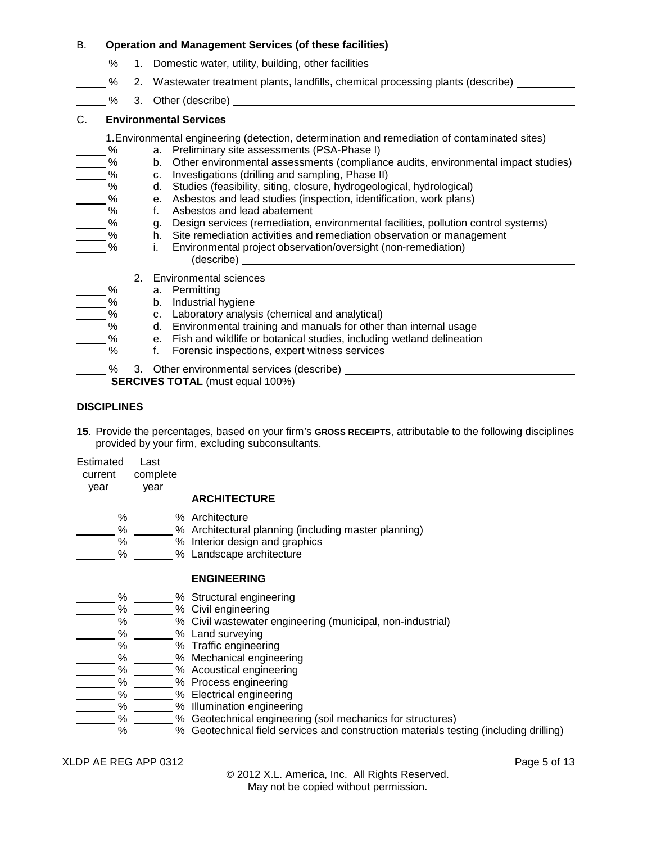#### B. **Operation and Management Services (of these facilities)**

- % 1. Domestic water, utility, building, other facilities
- % 2. Wastewater treatment plants, landfills, chemical processing plants (describe)
- % 3. Other (describe)

# C. **Environmental Services**

- 1.Environmental engineering (detection, determination and remediation of contaminated sites)
- % a. Preliminary site assessments (PSA-Phase I)<br>% b. Other environmental assessments (complian
- 6. b. Other environmental assessments (compliance audits, environmental impact studies)<br>2. Moreon C. Investigations (drilling and sampling, Phase II)
- % c. Investigations (drilling and sampling, Phase II)<br>% d. Studies (feasibility, siting, closure, hydrogeoloc
	- d. Studies (feasibility, siting, closure, hydrogeological, hydrological)
	- 2% e. Asbestos and lead studies (inspection, identification, work plans)<br>% f. Asbestos and lead abatement
- % f. Asbestos and lead abatement<br>% g. Design services (remediation,
- $\frac{9}{2}$  g. Design services (remediation, environmental facilities, pollution control systems)<br><sup>o</sup>/<sub>2</sub> h Site remediation activities and remediation observation or management
- 1. Site remediation activities and remediation observation or management<br>1. Environmental project observation/oversight (non-remediation)
	- i. Environmental project observation/oversight (non-remediation) (describe)
	- 2. Environmental sciences
	-
	- % a. Permitting<br>% b. Industrial h
	- % b. Industrial hygiene<br>% c. Laboratory analysi c. Laboratory analysis (chemical and analytical)
	- 5% d. Environmental training and manuals for other than internal usage
- % e. Fish and wildlife or botanical studies, including wetland delineation
	- 5% f. Forensic inspections, expert witness services
- % 3. Other environmental services (describe)
- **SERCIVES TOTAL** (must equal 100%)

# **DISCIPLINES**

- **15**. Provide the percentages, based on your firm's **GROSS RECEIPTS**, attributable to the following disciplines provided by your firm, excluding subconsultants.
- Estimated Last
- current complete year year

# **ARCHITECTURE**

- 
- % % Architecture
	- $\frac{m}{m}$ %  $\frac{m}{m}$ % Architectural planning (including master planning)
	- **Example 19 All the Contract Control Control of the Control of the Control of the Control of the Control of the Control of the Control of the Control of the Control of the Control of the Control of the Control of the Contr**
	- **6 Markol** % Landscape architecture

# **ENGINEERING**

- **Manual 2018** % Structural engineering
- % % Civil engineering
- \_\_\_\_\_\_\_% \_\_\_\_\_\_% Civil wastewater engineering (municipal, non-industrial)
- % % Land surveying
- % % Traffic engineering
- % % Mechanical engineering
- **Manual 2018 / 2018** Mccoustical engineering
	- $\frac{1}{2}$ % Process engineering
	- \_ % \_\_\_\_\_\_ % Electrical engineering
		- % % Illumination engineering
		- % % Geotechnical engineering (soil mechanics for structures)
	- % % Geotechnical field services and construction materials testing (including drilling)

# XLDP AE REG APP 0312 Page 5 of 13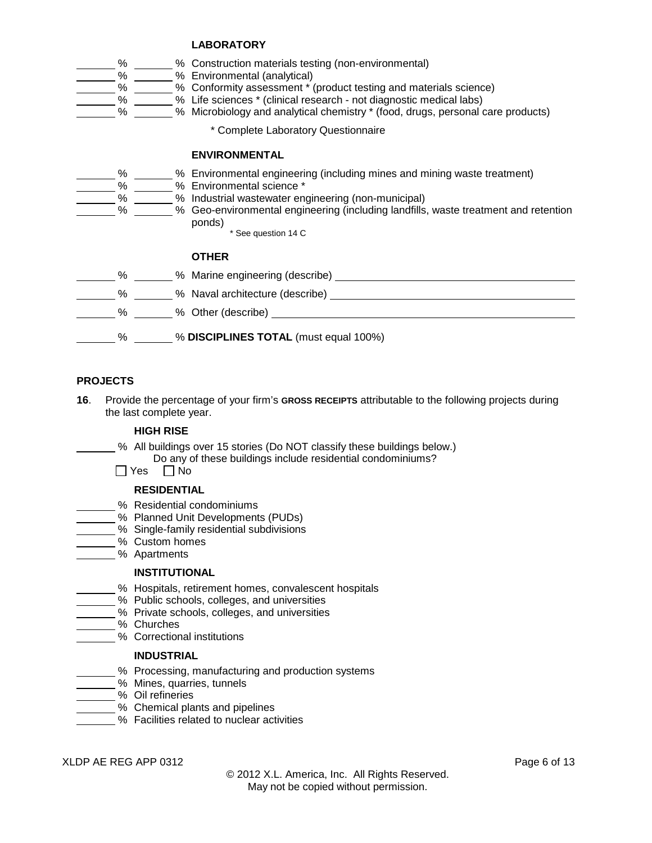# **LABORATORY**

|  |  | % Construction materials testing (non-environmental) |
|--|--|------------------------------------------------------|
|  |  |                                                      |

- % % Environmental (analytical)
- % % Conformity assessment \* (product testing and materials science)
- % % Life sciences \* (clinical research not diagnostic medical labs)
- % % Microbiology and analytical chemistry \* (food, drugs, personal care products)
	- \* Complete Laboratory Questionnaire

# **ENVIRONMENTAL**



- % \_\_\_\_\_\_\_% Environmental engineering (including mines and mining waste treatment)<br>% \_\_\_\_\_\_\_% Environmental science \*
- % \_\_\_\_\_\_ % Environmental science \*<br>% Industrial wastewater en
- % \_\_\_\_\_\_\_ % Industrial wastewater engineering (non-municipal)<br>% Geo-environmental engineering (including landfills
	- % % Geo-environmental engineering (including landfills, waste treatment and retention ponds)
		- \* See question 14 C

### **OTHER**

| % | % Marine engineering (describe) ________                                                                        |
|---|-----------------------------------------------------------------------------------------------------------------|
| % | % Naval architecture (describe)                                                                                 |
| % | % Other (describe) 2008 2009 2012 2013 2014 2016 2017 2018 2019 2019 2017 2018 2019 2019 2019 2019 2019 2017 20 |
| % | % DISCIPLINES TOTAL (must equal 100%)                                                                           |

### **PROJECTS**

**16**. Provide the percentage of your firm's **GROSS RECEIPTS** attributable to the following projects during the last complete year.

#### **HIGH RISE**

- % All buildings over 15 stories (Do NOT classify these buildings below.) Do any of these buildings include residential condominiums?
- $\Box$  Yes  $\Box$  No

### **RESIDENTIAL**

- % Residential condominiums
- % Planned Unit Developments (PUDs)
- % Single-family residential subdivisions
- % Custom homes
- % Apartments

#### **INSTITUTIONAL**

- % Hospitals, retirement homes, convalescent hospitals
- % Public schools, colleges, and universities
- % Private schools, colleges, and universities
- % Churches
	- % Correctional institutions

#### **INDUSTRIAL**

- % Processing, manufacturing and production systems
- % Mines, quarries, tunnels
- % Oil refineries
	- % Chemical plants and pipelines
- $\overline{\phantom{a}}$ % Facilities related to nuclear activities

XLDP AE REG APP 0312 Page 6 of 13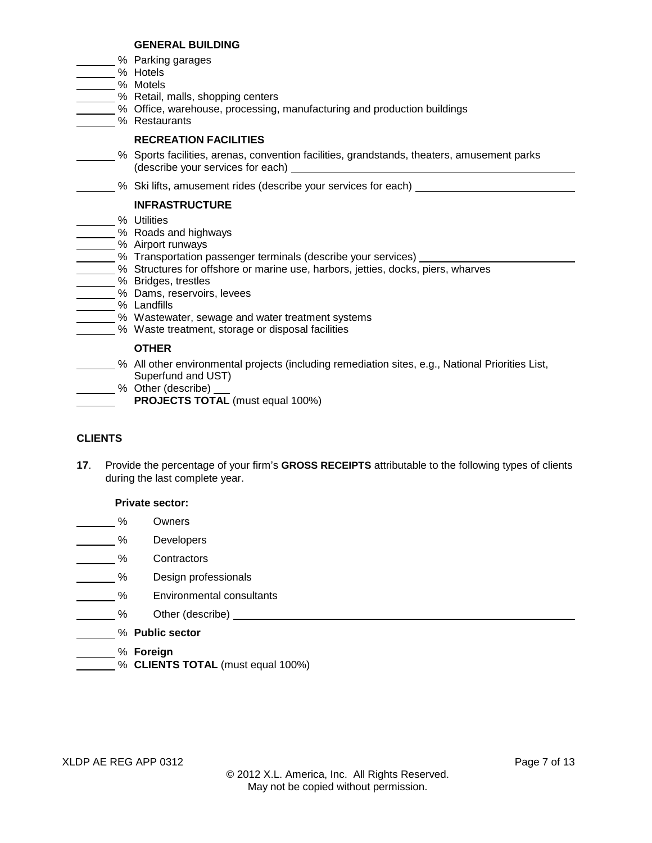# **GENERAL BUILDING**

- % Parking garages
- $\frac{1}{2}$ % Hotels
- % Motels
- 50 % Retail, malls, shopping centers
	- % Office, warehouse, processing, manufacturing and production buildings
- % Restaurants

# **RECREATION FACILITIES**

- % Sports facilities, arenas, convention facilities, grandstands, theaters, amusement parks (describe your services for each)
	- **6. Ski lifts, amusement rides (describe your services for each) constantly and the Skillings**

# **INFRASTRUCTURE**

- \_% Utilities
- % Roads and highways
- <u>-</u>% Airport runways
	- **2008** Transportation passenger terminals (describe your services)
	- % Structures for offshore or marine use, harbors, jetties, docks, piers, wharves
- **2008** Sridges, trestles
- **6 Mams**, reservoirs, levees
- % Landfills
	- **6 Wastewater, sewage and water treatment systems** 
		- % Waste treatment, storage or disposal facilities

# **OTHER**

- % All other environmental projects (including remediation sites, e.g., National Priorities List, Superfund and UST)
	- % Other (describe)
		- **PROJECTS TOTAL** (must equal 100%)

# **CLIENTS**

**17**. Provide the percentage of your firm's **GROSS RECEIPTS** attributable to the following types of clients during the last complete year.

# **Private sector:**

- % Owners
- % Developers
- % Contractors
- **Manuel 19 Section** Design professionals
- **Environmental consultants**
- **Manuel Manuel Manuel Mercede Contract Contract Manuel Manuel Mercede Contract Mercede Contract Oriental Mercede Contract Mercede Contract Oriental Mercede Contract Oriental Mercede Contract Oriental Mercede Contract Orien**
- % **Public sector**
- % **Foreign**
- % **CLIENTS TOTAL** (must equal 100%)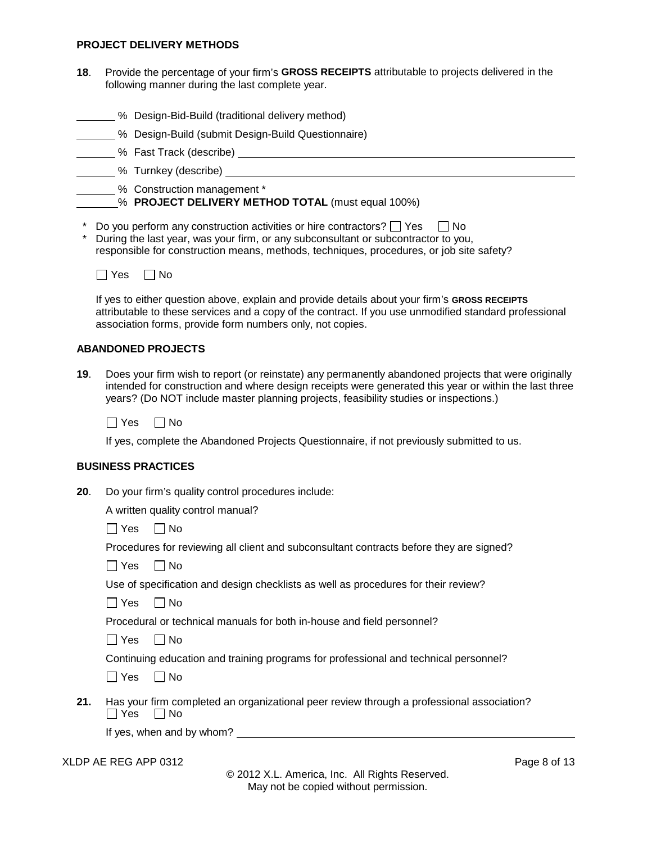#### **PROJECT DELIVERY METHODS**

- **18**. Provide the percentage of your firm's **GROSS RECEIPTS** attributable to projects delivered in the following manner during the last complete year.
- **6 Design-Bid-Build (traditional delivery method)** 
	- % Design-Build (submit Design-Build Questionnaire)
- **EXECUSE TRACK (describe) LECUSE 10 YO FAST TRACK** (describe)
- % Turnkey (describe)

% Construction management \*

% **PROJECT DELIVERY METHOD TOTAL** (must equal 100%)

- \* Do you perform any construction activities or hire contractors?  $\Box$  Yes  $\Box$  No
- \* During the last year, was your firm, or any subconsultant or subcontractor to you, responsible for construction means, methods, techniques, procedures, or job site safety?



If yes to either question above, explain and provide details about your firm's **GROSS RECEIPTS** attributable to these services and a copy of the contract. If you use unmodified standard professional association forms, provide form numbers only, not copies.

### **ABANDONED PROJECTS**

**19**. Does your firm wish to report (or reinstate) any permanently abandoned projects that were originally intended for construction and where design receipts were generated this year or within the last three years? (Do NOT include master planning projects, feasibility studies or inspections.)

 $\Box$  Yes  $\Box$  No

If yes, complete the Abandoned Projects Questionnaire, if not previously submitted to us.

#### **BUSINESS PRACTICES**

**20**. Do your firm's quality control procedures include:

A written quality control manual?

 $\Box$  Yes  $\Box$  No

Procedures for reviewing all client and subconsultant contracts before they are signed?

 $\Box$  Yes  $\Box$  No

Use of specification and design checklists as well as procedures for their review?

 $\Box$  Yes  $\Box$  No

Procedural or technical manuals for both in-house and field personnel?

 $\Box$  Yes  $\Box$  No

Continuing education and training programs for professional and technical personnel?

 $\Box$  Yes  $\Box$  No

**21.** Has your firm completed an organizational peer review through a professional association?  $\Box$  Yes  $\Box$  No

If yes, when and by whom?

XLDP AE REG APP 0312 Page 8 of 13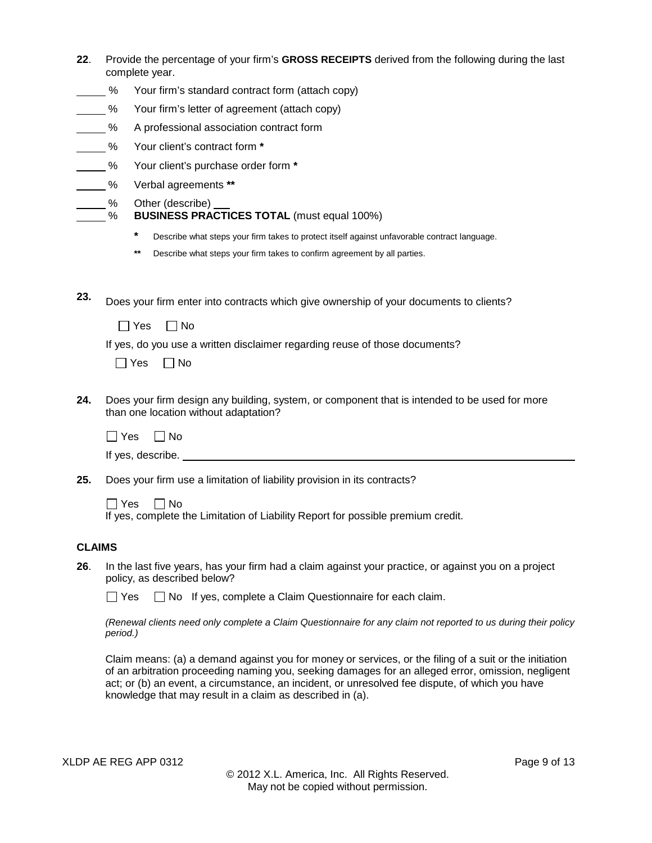| 22.           |                 | Provide the percentage of your firm's GROSS RECEIPTS derived from the following during the last<br>complete year.                      |
|---------------|-----------------|----------------------------------------------------------------------------------------------------------------------------------------|
|               | $-$ %           | Your firm's standard contract form (attach copy)                                                                                       |
|               | $\frac{9}{6}$   | Your firm's letter of agreement (attach copy)                                                                                          |
|               | $\frac{9}{6}$   | A professional association contract form                                                                                               |
| $\frac{9}{6}$ |                 | Your client's contract form *                                                                                                          |
|               | $\frac{9}{6}$   | Your client's purchase order form *                                                                                                    |
|               | $\frac{9}{6}$   | Verbal agreements **                                                                                                                   |
|               | $\frac{\%}{\%}$ | Other (describe)<br><b>BUSINESS PRACTICES TOTAL (must equal 100%)</b>                                                                  |
|               |                 | $\ast$<br>Describe what steps your firm takes to protect itself against unfavorable contract language.                                 |
|               |                 | $***$<br>Describe what steps your firm takes to confirm agreement by all parties.                                                      |
|               |                 |                                                                                                                                        |
| 23.           |                 | Does your firm enter into contracts which give ownership of your documents to clients?                                                 |
|               |                 | $\Box$ No<br>$\Box$ Yes                                                                                                                |
|               |                 | If yes, do you use a written disclaimer regarding reuse of those documents?<br>$\Box$ Yes<br>$\Box$ No                                 |
| 24.           |                 | Does your firm design any building, system, or component that is intended to be used for more<br>than one location without adaptation? |
|               | $\Box$ Yes      | $\Box$ No                                                                                                                              |
|               |                 |                                                                                                                                        |
| 25.           |                 | Does your firm use a limitation of liability provision in its contracts?                                                               |
|               | $\Box$ Yes      | $\Box$ No<br>If yes, complete the Limitation of Liability Report for possible premium credit.                                          |
| <b>CLAIMS</b> |                 |                                                                                                                                        |
| 26.           |                 | In the last five years, has your firm had a claim against your practice, or against you on a project<br>policy, as described below?    |
|               | $\sqcup$ Yes    | $\Box$ No If yes, complete a Claim Questionnaire for each claim.                                                                       |
|               | period.)        | (Renewal clients need only complete a Claim Questionnaire for any claim not reported to us during their policy                         |

Claim means: (a) a demand against you for money or services, or the filing of a suit or the initiation of an arbitration proceeding naming you, seeking damages for an alleged error, omission, negligent act; or (b) an event, a circumstance, an incident, or unresolved fee dispute, of which you have knowledge that may result in a claim as described in (a).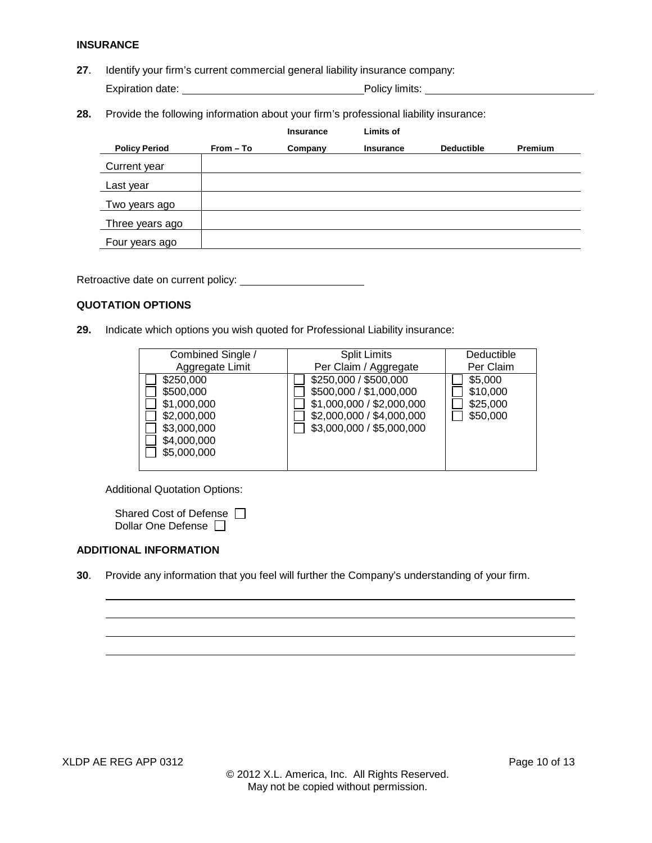#### **INSURANCE**

**27**. Identify your firm's current commercial general liability insurance company:

Expiration date: expiration date: Policy limits:

**28.** Provide the following information about your firm's professional liability insurance:

|                      |           | <b>Insurance</b> | Limits of        |                   |                |
|----------------------|-----------|------------------|------------------|-------------------|----------------|
| <b>Policy Period</b> | From - To | Company          | <b>Insurance</b> | <b>Deductible</b> | <b>Premium</b> |
| Current year         |           |                  |                  |                   |                |
| Last year            |           |                  |                  |                   |                |
| Two years ago        |           |                  |                  |                   |                |
| Three years ago      |           |                  |                  |                   |                |
| Four years ago       |           |                  |                  |                   |                |

Retroactive date on current policy:

### **QUOTATION OPTIONS**

**29.** Indicate which options you wish quoted for Professional Liability insurance:

| Combined Single / | <b>Split Limits</b>       | Deductible |
|-------------------|---------------------------|------------|
| Aggregate Limit   | Per Claim / Aggregate     | Per Claim  |
| \$250,000         | \$250,000 / \$500,000     | \$5,000    |
| \$500,000         | \$500,000 / \$1,000,000   | \$10,000   |
| \$1,000,000       | \$1,000,000 / \$2,000,000 | \$25,000   |
| \$2,000,000       | \$2,000,000 / \$4,000,000 | \$50,000   |
| \$3,000,000       | \$3,000,000 / \$5,000,000 |            |
| \$4,000,000       |                           |            |
| \$5,000,000       |                           |            |
|                   |                           |            |

Additional Quotation Options:

| Shared Cost of Defense □  |  |
|---------------------------|--|
| Dollar One Defense $\Box$ |  |

#### **ADDITIONAL INFORMATION**

**30**. Provide any information that you feel will further the Company's understanding of your firm.

 $\overline{a}$  $\overline{a}$  $\overline{\phantom{a}}$  $\overline{a}$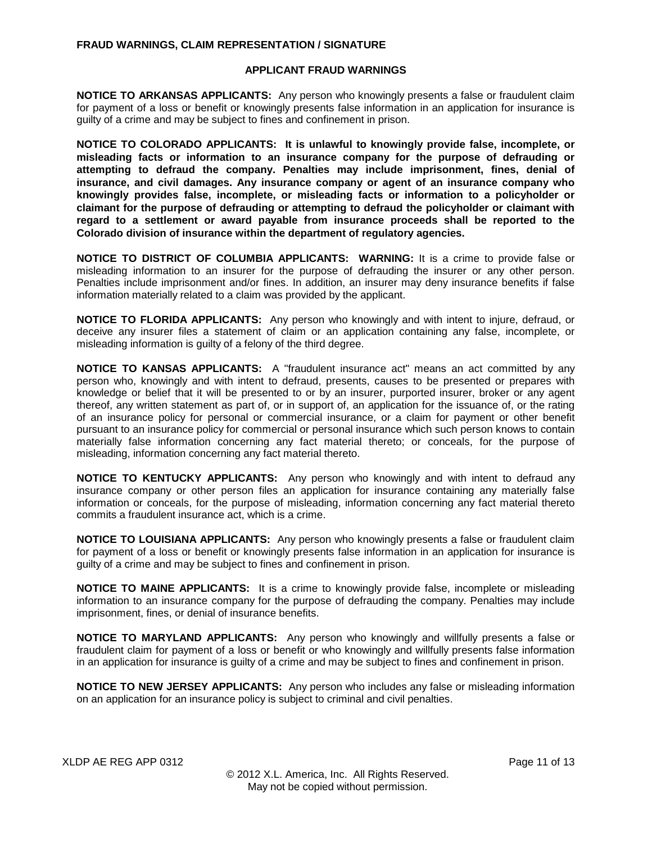#### **FRAUD WARNINGS, CLAIM REPRESENTATION / SIGNATURE**

#### **APPLICANT FRAUD WARNINGS**

**NOTICE TO ARKANSAS APPLICANTS:** Any person who knowingly presents a false or fraudulent claim for payment of a loss or benefit or knowingly presents false information in an application for insurance is guilty of a crime and may be subject to fines and confinement in prison.

**NOTICE TO COLORADO APPLICANTS: It is unlawful to knowingly provide false, incomplete, or misleading facts or information to an insurance company for the purpose of defrauding or attempting to defraud the company. Penalties may include imprisonment, fines, denial of insurance, and civil damages. Any insurance company or agent of an insurance company who knowingly provides false, incomplete, or misleading facts or information to a policyholder or claimant for the purpose of defrauding or attempting to defraud the policyholder or claimant with regard to a settlement or award payable from insurance proceeds shall be reported to the Colorado division of insurance within the department of regulatory agencies.**

**NOTICE TO DISTRICT OF COLUMBIA APPLICANTS: WARNING:** It is a crime to provide false or misleading information to an insurer for the purpose of defrauding the insurer or any other person. Penalties include imprisonment and/or fines. In addition, an insurer may deny insurance benefits if false information materially related to a claim was provided by the applicant.

**NOTICE TO FLORIDA APPLICANTS:** Any person who knowingly and with intent to injure, defraud, or deceive any insurer files a statement of claim or an application containing any false, incomplete, or misleading information is guilty of a felony of the third degree.

**NOTICE TO KANSAS APPLICANTS:** A "fraudulent insurance act" means an act committed by any person who, knowingly and with intent to defraud, presents, causes to be presented or prepares with knowledge or belief that it will be presented to or by an insurer, purported insurer, broker or any agent thereof, any written statement as part of, or in support of, an application for the issuance of, or the rating of an insurance policy for personal or commercial insurance, or a claim for payment or other benefit pursuant to an insurance policy for commercial or personal insurance which such person knows to contain materially false information concerning any fact material thereto; or conceals, for the purpose of misleading, information concerning any fact material thereto.

**NOTICE TO KENTUCKY APPLICANTS:** Any person who knowingly and with intent to defraud any insurance company or other person files an application for insurance containing any materially false information or conceals, for the purpose of misleading, information concerning any fact material thereto commits a fraudulent insurance act, which is a crime.

**NOTICE TO LOUISIANA APPLICANTS:** Any person who knowingly presents a false or fraudulent claim for payment of a loss or benefit or knowingly presents false information in an application for insurance is guilty of a crime and may be subject to fines and confinement in prison.

**NOTICE TO MAINE APPLICANTS:** It is a crime to knowingly provide false, incomplete or misleading information to an insurance company for the purpose of defrauding the company. Penalties may include imprisonment, fines, or denial of insurance benefits.

**NOTICE TO MARYLAND APPLICANTS:** Any person who knowingly and willfully presents a false or fraudulent claim for payment of a loss or benefit or who knowingly and willfully presents false information in an application for insurance is guilty of a crime and may be subject to fines and confinement in prison.

**NOTICE TO NEW JERSEY APPLICANTS:** Any person who includes any false or misleading information on an application for an insurance policy is subject to criminal and civil penalties.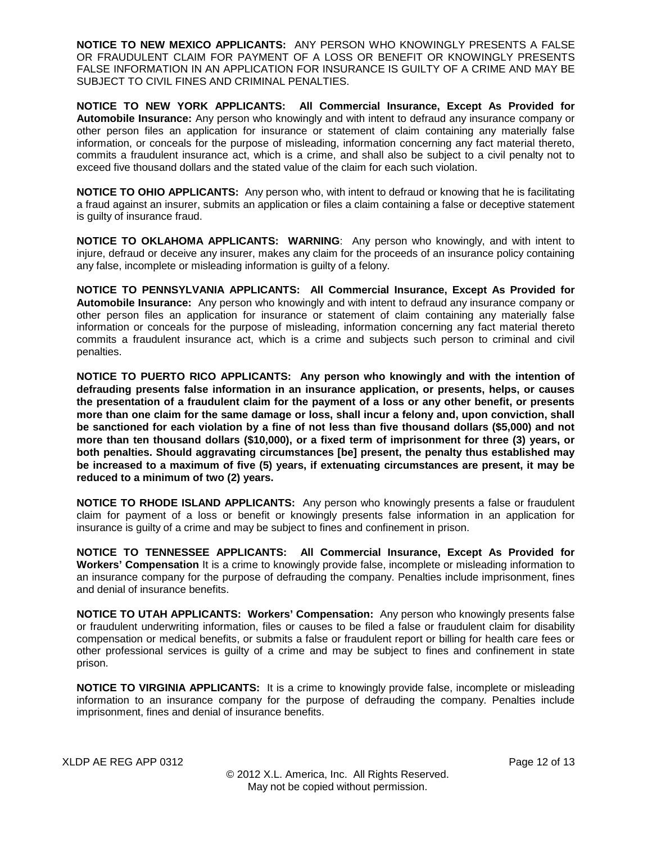**NOTICE TO NEW MEXICO APPLICANTS:** ANY PERSON WHO KNOWINGLY PRESENTS A FALSE OR FRAUDULENT CLAIM FOR PAYMENT OF A LOSS OR BENEFIT OR KNOWINGLY PRESENTS FALSE INFORMATION IN AN APPLICATION FOR INSURANCE IS GUILTY OF A CRIME AND MAY BE SUBJECT TO CIVIL FINES AND CRIMINAL PENALTIES.

**NOTICE TO NEW YORK APPLICANTS: All Commercial Insurance, Except As Provided for Automobile Insurance:** Any person who knowingly and with intent to defraud any insurance company or other person files an application for insurance or statement of claim containing any materially false information, or conceals for the purpose of misleading, information concerning any fact material thereto, commits a fraudulent insurance act, which is a crime, and shall also be subject to a civil penalty not to exceed five thousand dollars and the stated value of the claim for each such violation.

**NOTICE TO OHIO APPLICANTS:** Any person who, with intent to defraud or knowing that he is facilitating a fraud against an insurer, submits an application or files a claim containing a false or deceptive statement is guilty of insurance fraud.

**NOTICE TO OKLAHOMA APPLICANTS: WARNING**: Any person who knowingly, and with intent to injure, defraud or deceive any insurer, makes any claim for the proceeds of an insurance policy containing any false, incomplete or misleading information is guilty of a felony.

**NOTICE TO PENNSYLVANIA APPLICANTS: All Commercial Insurance, Except As Provided for Automobile Insurance:** Any person who knowingly and with intent to defraud any insurance company or other person files an application for insurance or statement of claim containing any materially false information or conceals for the purpose of misleading, information concerning any fact material thereto commits a fraudulent insurance act, which is a crime and subjects such person to criminal and civil penalties.

**NOTICE TO PUERTO RICO APPLICANTS: Any person who knowingly and with the intention of defrauding presents false information in an insurance application, or presents, helps, or causes the presentation of a fraudulent claim for the payment of a loss or any other benefit, or presents more than one claim for the same damage or loss, shall incur a felony and, upon conviction, shall be sanctioned for each violation by a fine of not less than five thousand dollars (\$5,000) and not more than ten thousand dollars (\$10,000), or a fixed term of imprisonment for three (3) years, or both penalties. Should aggravating circumstances [be] present, the penalty thus established may be increased to a maximum of five (5) years, if extenuating circumstances are present, it may be reduced to a minimum of two (2) years.**

**NOTICE TO RHODE ISLAND APPLICANTS:** Any person who knowingly presents a false or fraudulent claim for payment of a loss or benefit or knowingly presents false information in an application for insurance is guilty of a crime and may be subject to fines and confinement in prison.

**NOTICE TO TENNESSEE APPLICANTS: All Commercial Insurance, Except As Provided for Workers' Compensation** It is a crime to knowingly provide false, incomplete or misleading information to an insurance company for the purpose of defrauding the company. Penalties include imprisonment, fines and denial of insurance benefits.

**NOTICE TO UTAH APPLICANTS: Workers' Compensation:** Any person who knowingly presents false or fraudulent underwriting information, files or causes to be filed a false or fraudulent claim for disability compensation or medical benefits, or submits a false or fraudulent report or billing for health care fees or other professional services is guilty of a crime and may be subject to fines and confinement in state prison.

**NOTICE TO VIRGINIA APPLICANTS:** It is a crime to knowingly provide false, incomplete or misleading information to an insurance company for the purpose of defrauding the company. Penalties include imprisonment, fines and denial of insurance benefits.